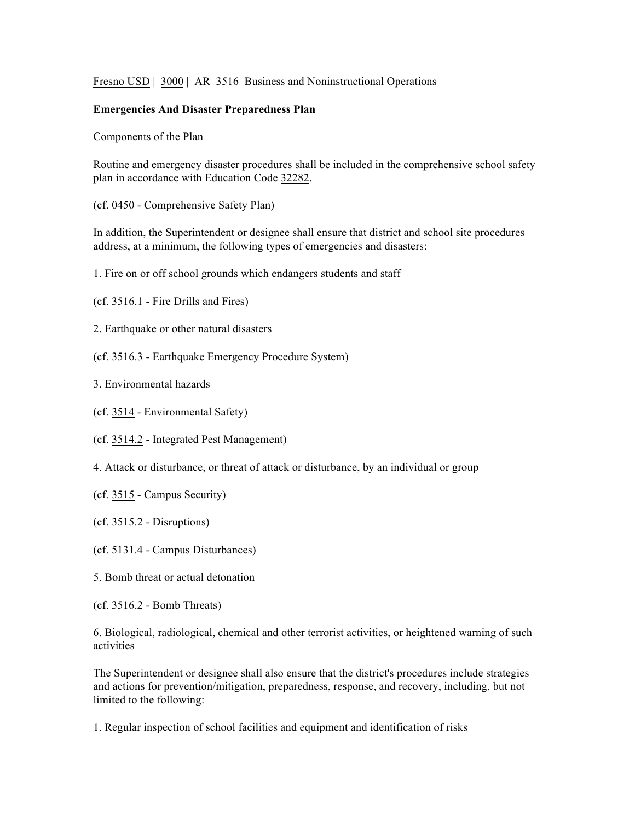Fresno USD | 3000 | AR 3516 Business and Noninstructional Operations

## **Emergencies And Disaster Preparedness Plan**

Components of the Plan

Routine and emergency disaster procedures shall be included in the comprehensive school safety plan in accordance with Education Code 32282.

(cf. 0450 - Comprehensive Safety Plan)

In addition, the Superintendent or designee shall ensure that district and school site procedures address, at a minimum, the following types of emergencies and disasters:

1. Fire on or off school grounds which endangers students and staff

(cf. 3516.1 - Fire Drills and Fires)

- 2. Earthquake or other natural disasters
- (cf. 3516.3 Earthquake Emergency Procedure System)
- 3. Environmental hazards

(cf. 3514 - Environmental Safety)

(cf. 3514.2 - Integrated Pest Management)

- 4. Attack or disturbance, or threat of attack or disturbance, by an individual or group
- (cf. 3515 Campus Security)
- (cf. 3515.2 Disruptions)
- (cf. 5131.4 Campus Disturbances)
- 5. Bomb threat or actual detonation
- (cf. 3516.2 Bomb Threats)

6. Biological, radiological, chemical and other terrorist activities, or heightened warning of such activities

The Superintendent or designee shall also ensure that the district's procedures include strategies and actions for prevention/mitigation, preparedness, response, and recovery, including, but not limited to the following:

1. Regular inspection of school facilities and equipment and identification of risks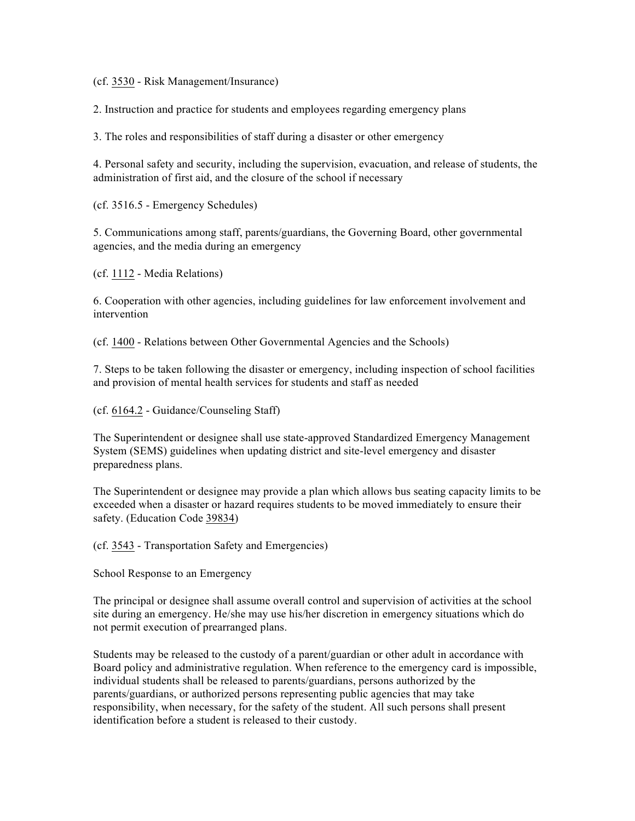(cf. 3530 - Risk Management/Insurance)

2. Instruction and practice for students and employees regarding emergency plans

3. The roles and responsibilities of staff during a disaster or other emergency

4. Personal safety and security, including the supervision, evacuation, and release of students, the administration of first aid, and the closure of the school if necessary

(cf. 3516.5 - Emergency Schedules)

5. Communications among staff, parents/guardians, the Governing Board, other governmental agencies, and the media during an emergency

(cf. 1112 - Media Relations)

6. Cooperation with other agencies, including guidelines for law enforcement involvement and intervention

(cf. 1400 - Relations between Other Governmental Agencies and the Schools)

7. Steps to be taken following the disaster or emergency, including inspection of school facilities and provision of mental health services for students and staff as needed

(cf. 6164.2 - Guidance/Counseling Staff)

The Superintendent or designee shall use state-approved Standardized Emergency Management System (SEMS) guidelines when updating district and site-level emergency and disaster preparedness plans.

The Superintendent or designee may provide a plan which allows bus seating capacity limits to be exceeded when a disaster or hazard requires students to be moved immediately to ensure their safety. (Education Code 39834)

(cf. 3543 - Transportation Safety and Emergencies)

School Response to an Emergency

The principal or designee shall assume overall control and supervision of activities at the school site during an emergency. He/she may use his/her discretion in emergency situations which do not permit execution of prearranged plans.

Students may be released to the custody of a parent/guardian or other adult in accordance with Board policy and administrative regulation. When reference to the emergency card is impossible, individual students shall be released to parents/guardians, persons authorized by the parents/guardians, or authorized persons representing public agencies that may take responsibility, when necessary, for the safety of the student. All such persons shall present identification before a student is released to their custody.